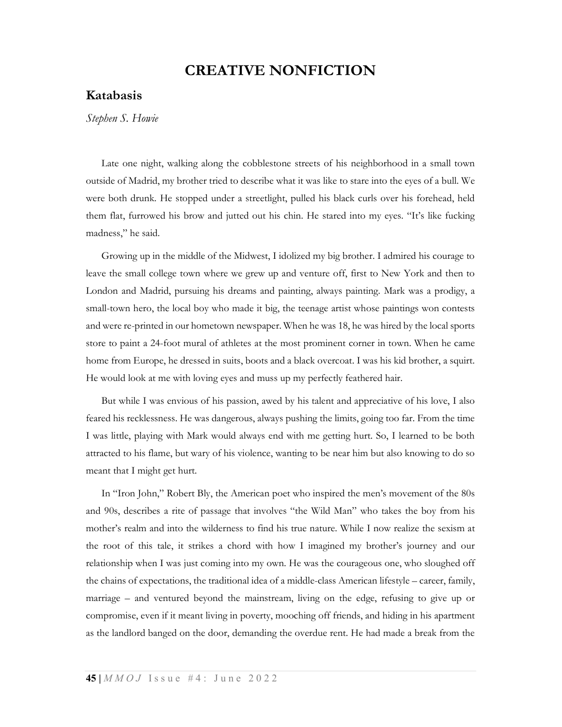## CREATIVE NONFICTION

## Katabasis

Stephen S. Howie

Late one night, walking along the cobblestone streets of his neighborhood in a small town outside of Madrid, my brother tried to describe what it was like to stare into the eyes of a bull. We were both drunk. He stopped under a streetlight, pulled his black curls over his forehead, held them flat, furrowed his brow and jutted out his chin. He stared into my eyes. "It's like fucking madness," he said.

Growing up in the middle of the Midwest, I idolized my big brother. I admired his courage to leave the small college town where we grew up and venture off, first to New York and then to London and Madrid, pursuing his dreams and painting, always painting. Mark was a prodigy, a small-town hero, the local boy who made it big, the teenage artist whose paintings won contests and were re-printed in our hometown newspaper. When he was 18, he was hired by the local sports store to paint a 24-foot mural of athletes at the most prominent corner in town. When he came home from Europe, he dressed in suits, boots and a black overcoat. I was his kid brother, a squirt. He would look at me with loving eyes and muss up my perfectly feathered hair.

But while I was envious of his passion, awed by his talent and appreciative of his love, I also feared his recklessness. He was dangerous, always pushing the limits, going too far. From the time I was little, playing with Mark would always end with me getting hurt. So, I learned to be both attracted to his flame, but wary of his violence, wanting to be near him but also knowing to do so meant that I might get hurt.

In "Iron John," Robert Bly, the American poet who inspired the men's movement of the 80s and 90s, describes a rite of passage that involves "the Wild Man" who takes the boy from his mother's realm and into the wilderness to find his true nature. While I now realize the sexism at the root of this tale, it strikes a chord with how I imagined my brother's journey and our relationship when I was just coming into my own. He was the courageous one, who sloughed off the chains of expectations, the traditional idea of a middle-class American lifestyle – career, family, marriage – and ventured beyond the mainstream, living on the edge, refusing to give up or compromise, even if it meant living in poverty, mooching off friends, and hiding in his apartment as the landlord banged on the door, demanding the overdue rent. He had made a break from the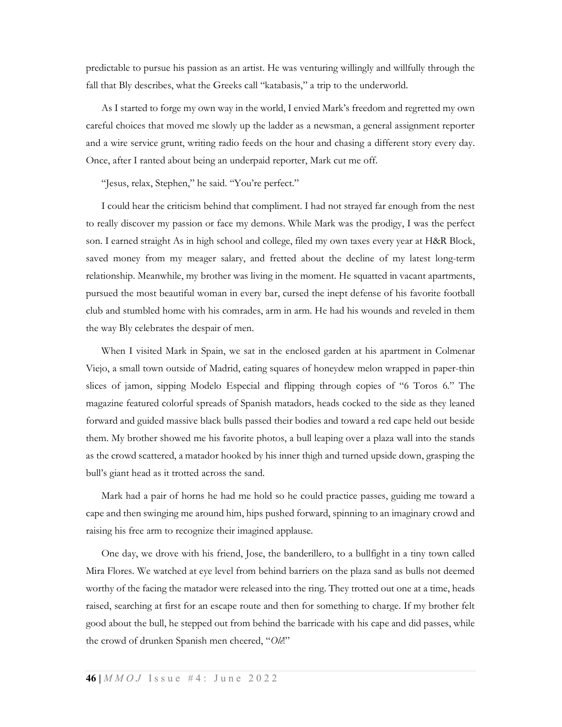predictable to pursue his passion as an artist. He was venturing willingly and willfully through the fall that Bly describes, what the Greeks call "katabasis," a trip to the underworld.

As I started to forge my own way in the world, I envied Mark's freedom and regretted my own careful choices that moved me slowly up the ladder as a newsman, a general assignment reporter and a wire service grunt, writing radio feeds on the hour and chasing a different story every day. Once, after I ranted about being an underpaid reporter, Mark cut me off.

"Jesus, relax, Stephen," he said. "You're perfect."

I could hear the criticism behind that compliment. I had not strayed far enough from the nest to really discover my passion or face my demons. While Mark was the prodigy, I was the perfect son. I earned straight As in high school and college, filed my own taxes every year at H&R Block, saved money from my meager salary, and fretted about the decline of my latest long-term relationship. Meanwhile, my brother was living in the moment. He squatted in vacant apartments, pursued the most beautiful woman in every bar, cursed the inept defense of his favorite football club and stumbled home with his comrades, arm in arm. He had his wounds and reveled in them the way Bly celebrates the despair of men.

When I visited Mark in Spain, we sat in the enclosed garden at his apartment in Colmenar Viejo, a small town outside of Madrid, eating squares of honeydew melon wrapped in paper-thin slices of jamon, sipping Modelo Especial and flipping through copies of "6 Toros 6." The magazine featured colorful spreads of Spanish matadors, heads cocked to the side as they leaned forward and guided massive black bulls passed their bodies and toward a red cape held out beside them. My brother showed me his favorite photos, a bull leaping over a plaza wall into the stands as the crowd scattered, a matador hooked by his inner thigh and turned upside down, grasping the bull's giant head as it trotted across the sand.

Mark had a pair of horns he had me hold so he could practice passes, guiding me toward a cape and then swinging me around him, hips pushed forward, spinning to an imaginary crowd and raising his free arm to recognize their imagined applause.

One day, we drove with his friend, Jose, the banderillero, to a bullfight in a tiny town called Mira Flores. We watched at eye level from behind barriers on the plaza sand as bulls not deemed worthy of the facing the matador were released into the ring. They trotted out one at a time, heads raised, searching at first for an escape route and then for something to charge. If my brother felt good about the bull, he stepped out from behind the barricade with his cape and did passes, while the crowd of drunken Spanish men cheered, "Ole!"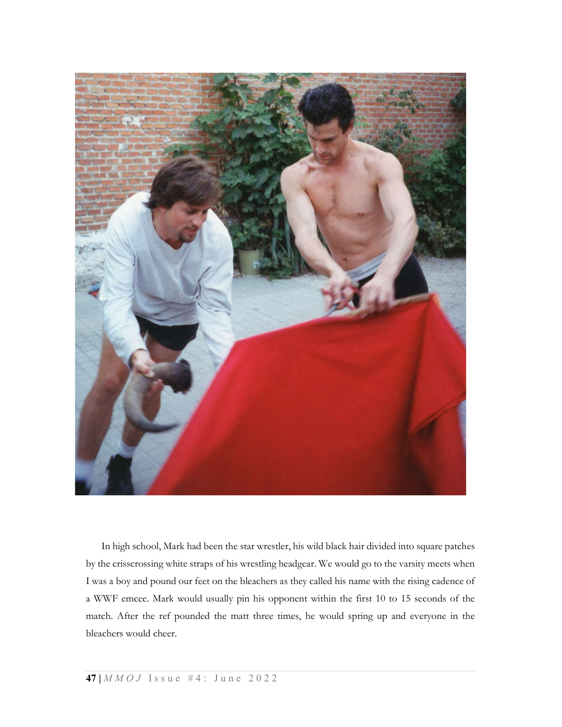

In high school, Mark had been the star wrestler, his wild black hair divided into square patches by the crisscrossing white straps of his wrestling headgear. We would go to the varsity meets when I was a boy and pound our feet on the bleachers as they called his name with the rising cadence of a WWF emcee. Mark would usually pin his opponent within the first 10 to 15 seconds of the match. After the ref pounded the matt three times, he would spring up and everyone in the bleachers would cheer.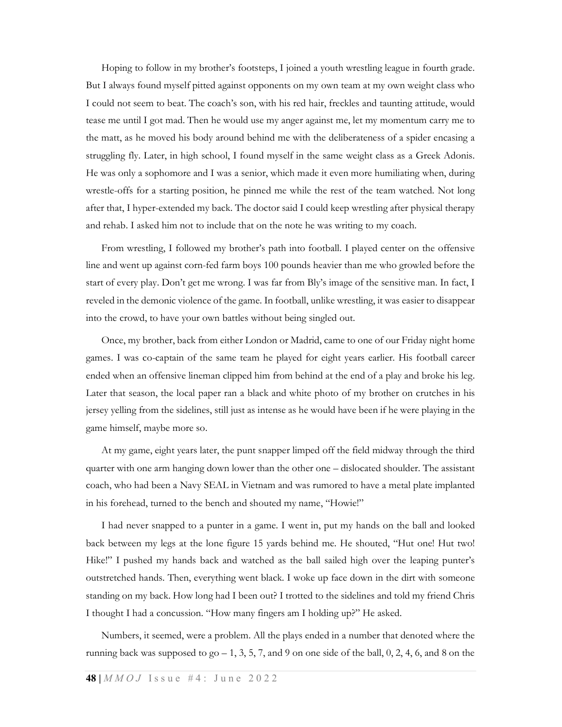Hoping to follow in my brother's footsteps, I joined a youth wrestling league in fourth grade. But I always found myself pitted against opponents on my own team at my own weight class who I could not seem to beat. The coach's son, with his red hair, freckles and taunting attitude, would tease me until I got mad. Then he would use my anger against me, let my momentum carry me to the matt, as he moved his body around behind me with the deliberateness of a spider encasing a struggling fly. Later, in high school, I found myself in the same weight class as a Greek Adonis. He was only a sophomore and I was a senior, which made it even more humiliating when, during wrestle-offs for a starting position, he pinned me while the rest of the team watched. Not long after that, I hyper-extended my back. The doctor said I could keep wrestling after physical therapy and rehab. I asked him not to include that on the note he was writing to my coach.

From wrestling, I followed my brother's path into football. I played center on the offensive line and went up against corn-fed farm boys 100 pounds heavier than me who growled before the start of every play. Don't get me wrong. I was far from Bly's image of the sensitive man. In fact, I reveled in the demonic violence of the game. In football, unlike wrestling, it was easier to disappear into the crowd, to have your own battles without being singled out.

Once, my brother, back from either London or Madrid, came to one of our Friday night home games. I was co-captain of the same team he played for eight years earlier. His football career ended when an offensive lineman clipped him from behind at the end of a play and broke his leg. Later that season, the local paper ran a black and white photo of my brother on crutches in his jersey yelling from the sidelines, still just as intense as he would have been if he were playing in the game himself, maybe more so.

At my game, eight years later, the punt snapper limped off the field midway through the third quarter with one arm hanging down lower than the other one – dislocated shoulder. The assistant coach, who had been a Navy SEAL in Vietnam and was rumored to have a metal plate implanted in his forehead, turned to the bench and shouted my name, "Howie!"

I had never snapped to a punter in a game. I went in, put my hands on the ball and looked back between my legs at the lone figure 15 yards behind me. He shouted, "Hut one! Hut two! Hike!" I pushed my hands back and watched as the ball sailed high over the leaping punter's outstretched hands. Then, everything went black. I woke up face down in the dirt with someone standing on my back. How long had I been out? I trotted to the sidelines and told my friend Chris I thought I had a concussion. "How many fingers am I holding up?" He asked.

Numbers, it seemed, were a problem. All the plays ended in a number that denoted where the running back was supposed to  $g_0$  – 1, 3, 5, 7, and 9 on one side of the ball, 0, 2, 4, 6, and 8 on the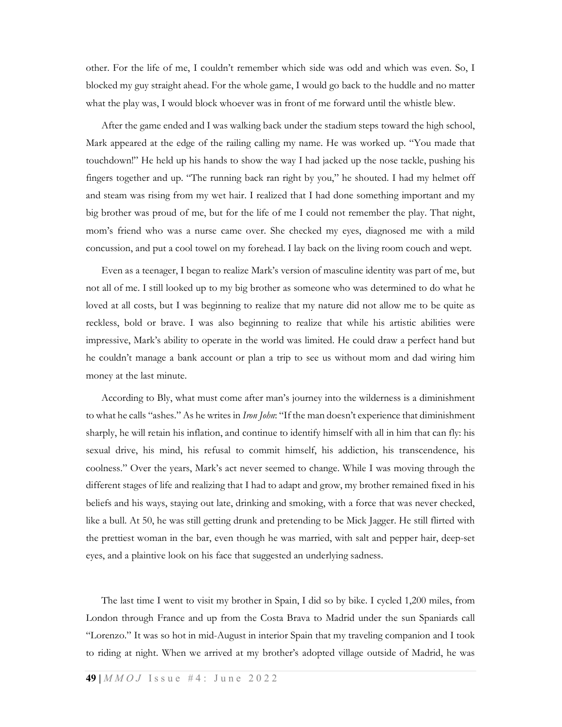other. For the life of me, I couldn't remember which side was odd and which was even. So, I blocked my guy straight ahead. For the whole game, I would go back to the huddle and no matter what the play was, I would block whoever was in front of me forward until the whistle blew.

After the game ended and I was walking back under the stadium steps toward the high school, Mark appeared at the edge of the railing calling my name. He was worked up. "You made that touchdown!" He held up his hands to show the way I had jacked up the nose tackle, pushing his fingers together and up. "The running back ran right by you," he shouted. I had my helmet off and steam was rising from my wet hair. I realized that I had done something important and my big brother was proud of me, but for the life of me I could not remember the play. That night, mom's friend who was a nurse came over. She checked my eyes, diagnosed me with a mild concussion, and put a cool towel on my forehead. I lay back on the living room couch and wept.

Even as a teenager, I began to realize Mark's version of masculine identity was part of me, but not all of me. I still looked up to my big brother as someone who was determined to do what he loved at all costs, but I was beginning to realize that my nature did not allow me to be quite as reckless, bold or brave. I was also beginning to realize that while his artistic abilities were impressive, Mark's ability to operate in the world was limited. He could draw a perfect hand but he couldn't manage a bank account or plan a trip to see us without mom and dad wiring him money at the last minute.

According to Bly, what must come after man's journey into the wilderness is a diminishment to what he calls "ashes." As he writes in *Iron John*: "If the man doesn't experience that diminishment sharply, he will retain his inflation, and continue to identify himself with all in him that can fly: his sexual drive, his mind, his refusal to commit himself, his addiction, his transcendence, his coolness." Over the years, Mark's act never seemed to change. While I was moving through the different stages of life and realizing that I had to adapt and grow, my brother remained fixed in his beliefs and his ways, staying out late, drinking and smoking, with a force that was never checked, like a bull. At 50, he was still getting drunk and pretending to be Mick Jagger. He still flirted with the prettiest woman in the bar, even though he was married, with salt and pepper hair, deep-set eyes, and a plaintive look on his face that suggested an underlying sadness.

The last time I went to visit my brother in Spain, I did so by bike. I cycled 1,200 miles, from London through France and up from the Costa Brava to Madrid under the sun Spaniards call "Lorenzo." It was so hot in mid-August in interior Spain that my traveling companion and I took to riding at night. When we arrived at my brother's adopted village outside of Madrid, he was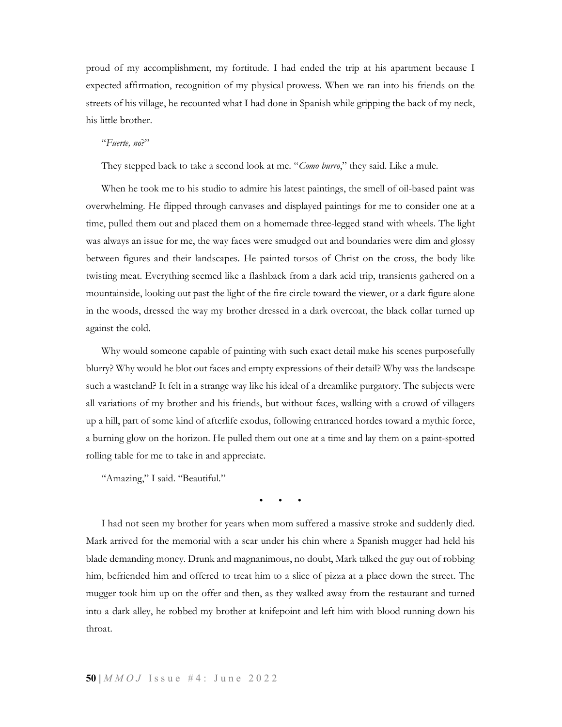proud of my accomplishment, my fortitude. I had ended the trip at his apartment because I expected affirmation, recognition of my physical prowess. When we ran into his friends on the streets of his village, he recounted what I had done in Spanish while gripping the back of my neck, his little brother.

## "Fuerte, no?"

They stepped back to take a second look at me. "Como burro," they said. Like a mule.

When he took me to his studio to admire his latest paintings, the smell of oil-based paint was overwhelming. He flipped through canvases and displayed paintings for me to consider one at a time, pulled them out and placed them on a homemade three-legged stand with wheels. The light was always an issue for me, the way faces were smudged out and boundaries were dim and glossy between figures and their landscapes. He painted torsos of Christ on the cross, the body like twisting meat. Everything seemed like a flashback from a dark acid trip, transients gathered on a mountainside, looking out past the light of the fire circle toward the viewer, or a dark figure alone in the woods, dressed the way my brother dressed in a dark overcoat, the black collar turned up against the cold.

Why would someone capable of painting with such exact detail make his scenes purposefully blurry? Why would he blot out faces and empty expressions of their detail? Why was the landscape such a wasteland? It felt in a strange way like his ideal of a dreamlike purgatory. The subjects were all variations of my brother and his friends, but without faces, walking with a crowd of villagers up a hill, part of some kind of afterlife exodus, following entranced hordes toward a mythic force, a burning glow on the horizon. He pulled them out one at a time and lay them on a paint-spotted rolling table for me to take in and appreciate.

"Amazing," I said. "Beautiful."

• • •

I had not seen my brother for years when mom suffered a massive stroke and suddenly died. Mark arrived for the memorial with a scar under his chin where a Spanish mugger had held his blade demanding money. Drunk and magnanimous, no doubt, Mark talked the guy out of robbing him, befriended him and offered to treat him to a slice of pizza at a place down the street. The mugger took him up on the offer and then, as they walked away from the restaurant and turned into a dark alley, he robbed my brother at knifepoint and left him with blood running down his throat.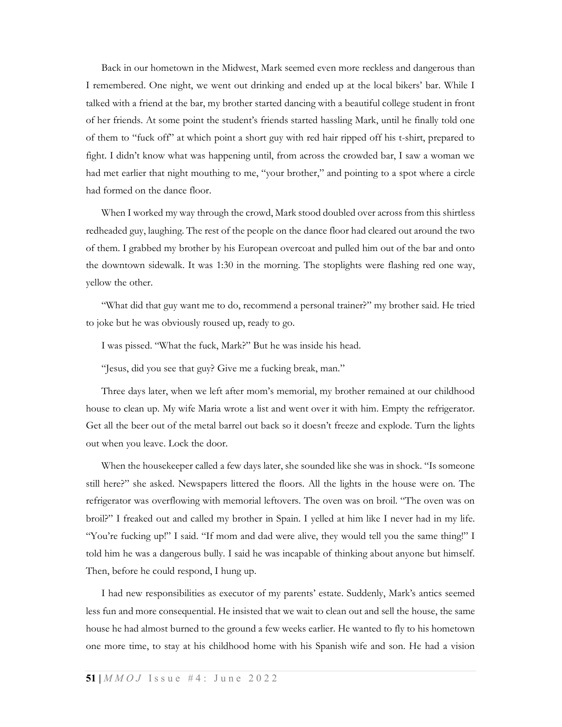Back in our hometown in the Midwest, Mark seemed even more reckless and dangerous than I remembered. One night, we went out drinking and ended up at the local bikers' bar. While I talked with a friend at the bar, my brother started dancing with a beautiful college student in front of her friends. At some point the student's friends started hassling Mark, until he finally told one of them to "fuck off" at which point a short guy with red hair ripped off his t-shirt, prepared to fight. I didn't know what was happening until, from across the crowded bar, I saw a woman we had met earlier that night mouthing to me, "your brother," and pointing to a spot where a circle had formed on the dance floor.

When I worked my way through the crowd, Mark stood doubled over across from this shirtless redheaded guy, laughing. The rest of the people on the dance floor had cleared out around the two of them. I grabbed my brother by his European overcoat and pulled him out of the bar and onto the downtown sidewalk. It was 1:30 in the morning. The stoplights were flashing red one way, yellow the other.

"What did that guy want me to do, recommend a personal trainer?" my brother said. He tried to joke but he was obviously roused up, ready to go.

I was pissed. "What the fuck, Mark?" But he was inside his head.

"Jesus, did you see that guy? Give me a fucking break, man."

Three days later, when we left after mom's memorial, my brother remained at our childhood house to clean up. My wife Maria wrote a list and went over it with him. Empty the refrigerator. Get all the beer out of the metal barrel out back so it doesn't freeze and explode. Turn the lights out when you leave. Lock the door.

When the housekeeper called a few days later, she sounded like she was in shock. "Is someone still here?" she asked. Newspapers littered the floors. All the lights in the house were on. The refrigerator was overflowing with memorial leftovers. The oven was on broil. "The oven was on broil?" I freaked out and called my brother in Spain. I yelled at him like I never had in my life. "You're fucking up!" I said. "If mom and dad were alive, they would tell you the same thing!" I told him he was a dangerous bully. I said he was incapable of thinking about anyone but himself. Then, before he could respond, I hung up.

I had new responsibilities as executor of my parents' estate. Suddenly, Mark's antics seemed less fun and more consequential. He insisted that we wait to clean out and sell the house, the same house he had almost burned to the ground a few weeks earlier. He wanted to fly to his hometown one more time, to stay at his childhood home with his Spanish wife and son. He had a vision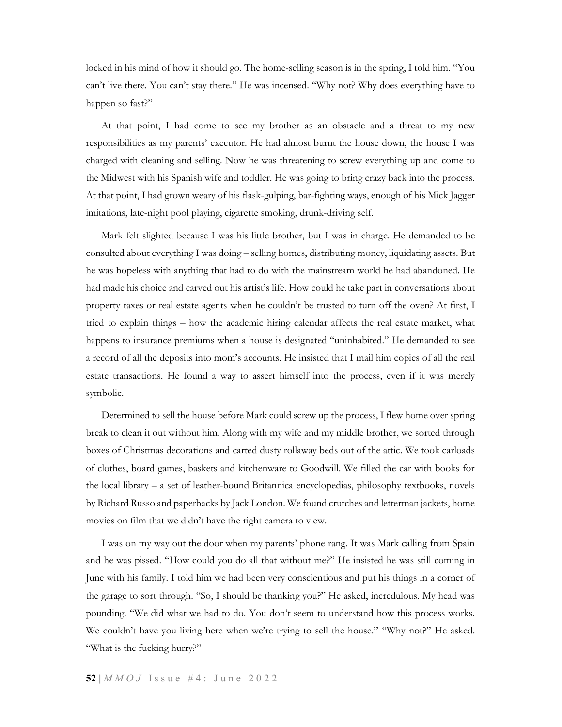locked in his mind of how it should go. The home-selling season is in the spring, I told him. "You can't live there. You can't stay there." He was incensed. "Why not? Why does everything have to happen so fast?"

At that point, I had come to see my brother as an obstacle and a threat to my new responsibilities as my parents' executor. He had almost burnt the house down, the house I was charged with cleaning and selling. Now he was threatening to screw everything up and come to the Midwest with his Spanish wife and toddler. He was going to bring crazy back into the process. At that point, I had grown weary of his flask-gulping, bar-fighting ways, enough of his Mick Jagger imitations, late-night pool playing, cigarette smoking, drunk-driving self.

Mark felt slighted because I was his little brother, but I was in charge. He demanded to be consulted about everything I was doing – selling homes, distributing money, liquidating assets. But he was hopeless with anything that had to do with the mainstream world he had abandoned. He had made his choice and carved out his artist's life. How could he take part in conversations about property taxes or real estate agents when he couldn't be trusted to turn off the oven? At first, I tried to explain things – how the academic hiring calendar affects the real estate market, what happens to insurance premiums when a house is designated "uninhabited." He demanded to see a record of all the deposits into mom's accounts. He insisted that I mail him copies of all the real estate transactions. He found a way to assert himself into the process, even if it was merely symbolic.

Determined to sell the house before Mark could screw up the process, I flew home over spring break to clean it out without him. Along with my wife and my middle brother, we sorted through boxes of Christmas decorations and carted dusty rollaway beds out of the attic. We took carloads of clothes, board games, baskets and kitchenware to Goodwill. We filled the car with books for the local library – a set of leather-bound Britannica encyclopedias, philosophy textbooks, novels by Richard Russo and paperbacks by Jack London. We found crutches and letterman jackets, home movies on film that we didn't have the right camera to view.

I was on my way out the door when my parents' phone rang. It was Mark calling from Spain and he was pissed. "How could you do all that without me?" He insisted he was still coming in June with his family. I told him we had been very conscientious and put his things in a corner of the garage to sort through. "So, I should be thanking you?" He asked, incredulous. My head was pounding. "We did what we had to do. You don't seem to understand how this process works. We couldn't have you living here when we're trying to sell the house." "Why not?" He asked. "What is the fucking hurry?"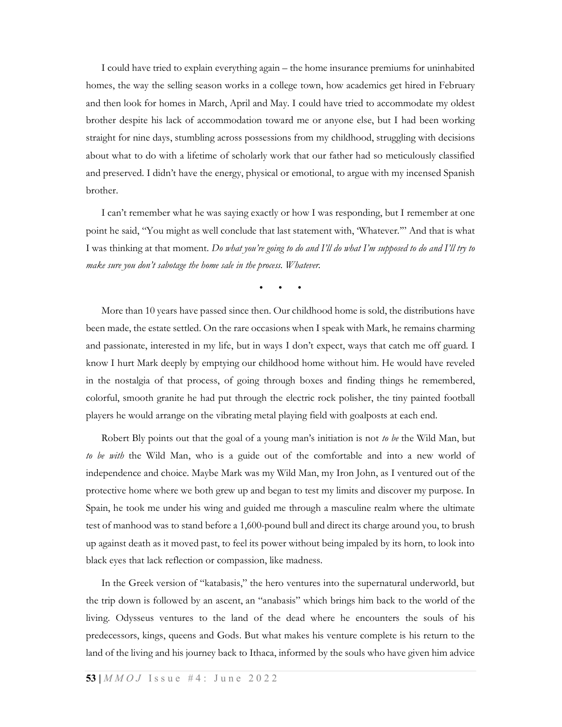I could have tried to explain everything again – the home insurance premiums for uninhabited homes, the way the selling season works in a college town, how academics get hired in February and then look for homes in March, April and May. I could have tried to accommodate my oldest brother despite his lack of accommodation toward me or anyone else, but I had been working straight for nine days, stumbling across possessions from my childhood, struggling with decisions about what to do with a lifetime of scholarly work that our father had so meticulously classified and preserved. I didn't have the energy, physical or emotional, to argue with my incensed Spanish brother.

I can't remember what he was saying exactly or how I was responding, but I remember at one point he said, "You might as well conclude that last statement with, 'Whatever.'" And that is what I was thinking at that moment. Do what you're going to do and I'll do what I'm supposed to do and I'll try to make sure you don't sabotage the home sale in the process. Whatever.

• • •

More than 10 years have passed since then. Our childhood home is sold, the distributions have been made, the estate settled. On the rare occasions when I speak with Mark, he remains charming and passionate, interested in my life, but in ways I don't expect, ways that catch me off guard. I know I hurt Mark deeply by emptying our childhood home without him. He would have reveled in the nostalgia of that process, of going through boxes and finding things he remembered, colorful, smooth granite he had put through the electric rock polisher, the tiny painted football players he would arrange on the vibrating metal playing field with goalposts at each end.

Robert Bly points out that the goal of a young man's initiation is not to be the Wild Man, but to be with the Wild Man, who is a guide out of the comfortable and into a new world of independence and choice. Maybe Mark was my Wild Man, my Iron John, as I ventured out of the protective home where we both grew up and began to test my limits and discover my purpose. In Spain, he took me under his wing and guided me through a masculine realm where the ultimate test of manhood was to stand before a 1,600-pound bull and direct its charge around you, to brush up against death as it moved past, to feel its power without being impaled by its horn, to look into black eyes that lack reflection or compassion, like madness.

In the Greek version of "katabasis," the hero ventures into the supernatural underworld, but the trip down is followed by an ascent, an "anabasis" which brings him back to the world of the living. Odysseus ventures to the land of the dead where he encounters the souls of his predecessors, kings, queens and Gods. But what makes his venture complete is his return to the land of the living and his journey back to Ithaca, informed by the souls who have given him advice